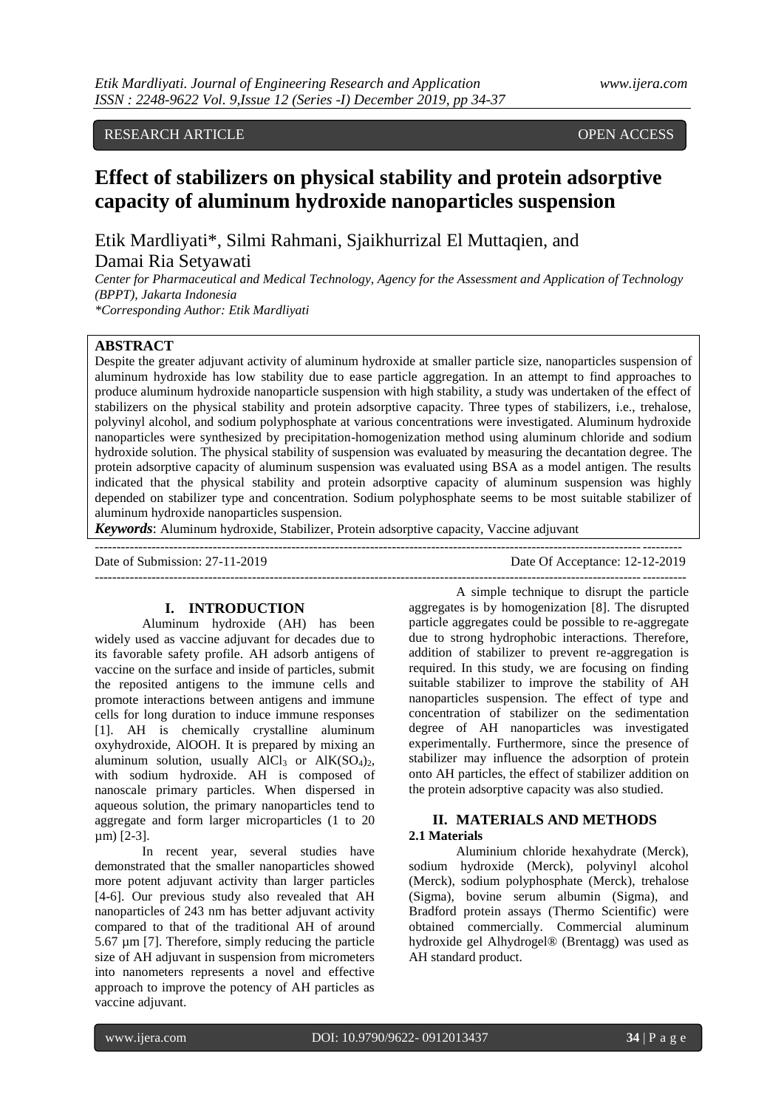# RESEARCH ARTICLE **OPEN ACCESS**

# **Effect of stabilizers on physical stability and protein adsorptive capacity of aluminum hydroxide nanoparticles suspension**

Etik Mardliyati\*, Silmi Rahmani, Sjaikhurrizal El Muttaqien, and Damai Ria Setyawati

*Center for Pharmaceutical and Medical Technology, Agency for the Assessment and Application of Technology (BPPT), Jakarta Indonesia*

*\*Corresponding Author: Etik Mardliyati*

# **ABSTRACT**

Despite the greater adjuvant activity of aluminum hydroxide at smaller particle size, nanoparticles suspension of aluminum hydroxide has low stability due to ease particle aggregation. In an attempt to find approaches to produce aluminum hydroxide nanoparticle suspension with high stability, a study was undertaken of the effect of stabilizers on the physical stability and protein adsorptive capacity. Three types of stabilizers, i.e., trehalose, polyvinyl alcohol, and sodium polyphosphate at various concentrations were investigated. Aluminum hydroxide nanoparticles were synthesized by precipitation-homogenization method using aluminum chloride and sodium hydroxide solution. The physical stability of suspension was evaluated by measuring the decantation degree. The protein adsorptive capacity of aluminum suspension was evaluated using BSA as a model antigen. The results indicated that the physical stability and protein adsorptive capacity of aluminum suspension was highly depended on stabilizer type and concentration. Sodium polyphosphate seems to be most suitable stabilizer of aluminum hydroxide nanoparticles suspension.

*Keywords*: Aluminum hydroxide, Stabilizer, Protein adsorptive capacity, Vaccine adjuvant

--------------------------------------------------------------------------------------------------------------------------------------

Date of Submission: 27-11-2019 Date Of Acceptance: 12-12-2019

#### **I. INTRODUCTION**

Aluminum hydroxide (AH) has been widely used as vaccine adjuvant for decades due to its favorable safety profile. AH adsorb antigens of vaccine on the surface and inside of particles, submit the reposited antigens to the immune cells and promote interactions between antigens and immune cells for long duration to induce immune responses [1]. AH is chemically crystalline aluminum oxyhydroxide, AlOOH. It is prepared by mixing an aluminum solution, usually  $AICl<sub>3</sub>$  or  $AIK(SO<sub>4</sub>)<sub>2</sub>$ , with sodium hydroxide. AH is composed of nanoscale primary particles. When dispersed in aqueous solution, the primary nanoparticles tend to aggregate and form larger microparticles (1 to 20 µm) [2-3].

In recent year, several studies have demonstrated that the smaller nanoparticles showed more potent adjuvant activity than larger particles [4-6]. Our previous study also revealed that AH nanoparticles of 243 nm has better adjuvant activity compared to that of the traditional AH of around 5.67 µm [7]. Therefore, simply reducing the particle size of AH adjuvant in suspension from micrometers into nanometers represents a novel and effective approach to improve the potency of AH particles as vaccine adjuvant.

--------------------------------------------------------------------------------------------------------------------------------------- A simple technique to disrupt the particle aggregates is by homogenization [8]. The disrupted particle aggregates could be possible to re-aggregate due to strong hydrophobic interactions. Therefore, addition of stabilizer to prevent re-aggregation is required. In this study, we are focusing on finding suitable stabilizer to improve the stability of AH nanoparticles suspension. The effect of type and concentration of stabilizer on the sedimentation degree of AH nanoparticles was investigated experimentally. Furthermore, since the presence of stabilizer may influence the adsorption of protein onto AH particles, the effect of stabilizer addition on the protein adsorptive capacity was also studied.

# **II. MATERIALS AND METHODS 2.1 Materials**

Aluminium chloride hexahydrate (Merck), sodium hydroxide (Merck), polyvinyl alcohol (Merck), sodium polyphosphate (Merck), trehalose (Sigma), bovine serum albumin (Sigma), and Bradford protein assays (Thermo Scientific) were obtained commercially. Commercial aluminum hydroxide gel Alhydrogel® (Brentagg) was used as AH standard product.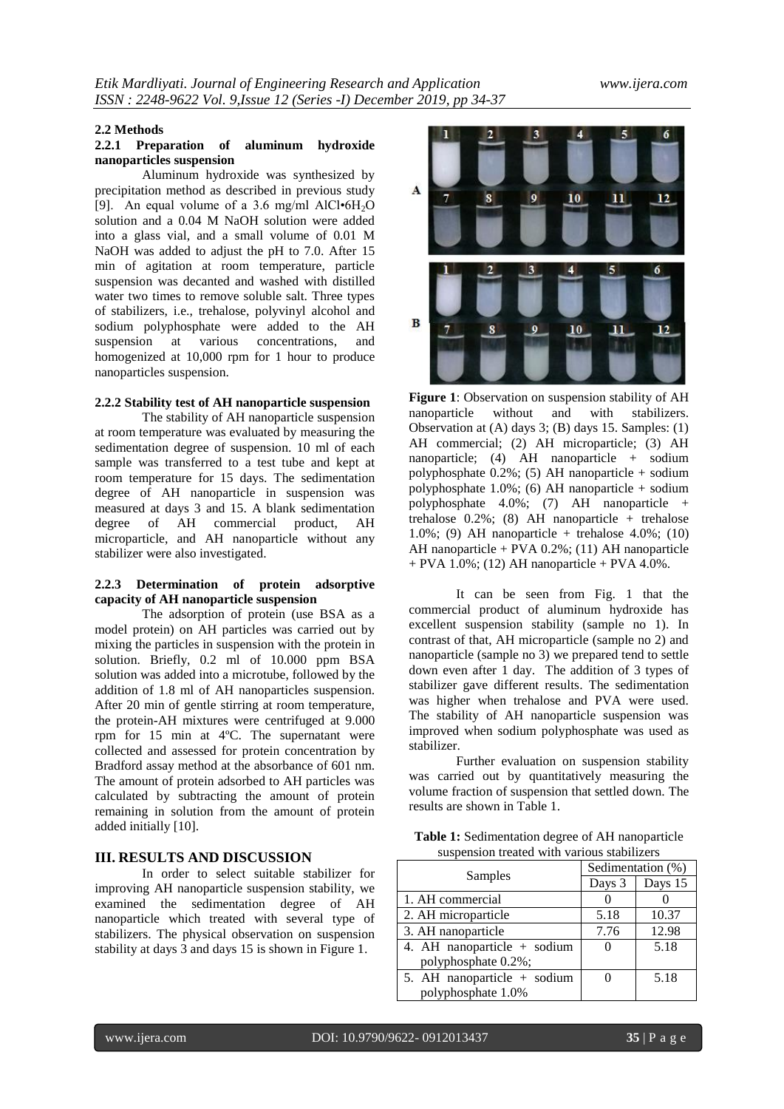#### **2.2 Methods**

# **2.2.1 Preparation of aluminum hydroxide nanoparticles suspension**

Aluminum hydroxide was synthesized by precipitation method as described in previous study [9]. An equal volume of a 3.6 mg/ml AlCl $\cdot$ 6H<sub>2</sub>O solution and a 0.04 M NaOH solution were added into a glass vial, and a small volume of 0.01 M NaOH was added to adjust the pH to 7.0. After 15 min of agitation at room temperature, particle suspension was decanted and washed with distilled water two times to remove soluble salt. Three types of stabilizers, i.e., trehalose, polyvinyl alcohol and sodium polyphosphate were added to the AH suspension at various concentrations, and various concentrations, and homogenized at 10,000 rpm for 1 hour to produce nanoparticles suspension.

#### **2.2.2 Stability test of AH nanoparticle suspension**

The stability of AH nanoparticle suspension at room temperature was evaluated by measuring the sedimentation degree of suspension. 10 ml of each sample was transferred to a test tube and kept at room temperature for 15 days. The sedimentation degree of AH nanoparticle in suspension was measured at days 3 and 15. A blank sedimentation degree of AH commercial product, AH microparticle, and AH nanoparticle without any stabilizer were also investigated.

# **2.2.3 Determination of protein adsorptive capacity of AH nanoparticle suspension**

The adsorption of protein (use BSA as a model protein) on AH particles was carried out by mixing the particles in suspension with the protein in solution. Briefly, 0.2 ml of 10.000 ppm BSA solution was added into a microtube, followed by the addition of 1.8 ml of AH nanoparticles suspension. After 20 min of gentle stirring at room temperature, the protein-AH mixtures were centrifuged at 9.000 rpm for 15 min at 4ºC. The supernatant were collected and assessed for protein concentration by Bradford assay method at the absorbance of 601 nm. The amount of protein adsorbed to AH particles was calculated by subtracting the amount of protein remaining in solution from the amount of protein added initially [10].

# **III. RESULTS AND DISCUSSION**

In order to select suitable stabilizer for improving AH nanoparticle suspension stability, we examined the sedimentation degree of AH nanoparticle which treated with several type of stabilizers. The physical observation on suspension stability at days 3 and days 15 is shown in Figure 1.



**Figure 1**: Observation on suspension stability of AH nanoparticle without and with stabilizers. Observation at (A) days 3; (B) days 15. Samples: (1) AH commercial; (2) AH microparticle; (3) AH nanoparticle; (4) AH nanoparticle + sodium polyphosphate  $0.2\%$ ; (5) AH nanoparticle + sodium polyphosphate  $1.0\%$ ; (6) AH nanoparticle + sodium polyphosphate 4.0%; (7) AH nanoparticle + trehalose 0.2%; (8) AH nanoparticle + trehalose 1.0%; (9) AH nanoparticle + trehalose 4.0%; (10) AH nanoparticle + PVA 0.2%; (11) AH nanoparticle  $+$  PVA 1.0%; (12) AH nanoparticle  $+$  PVA 4.0%.

It can be seen from Fig. 1 that the commercial product of aluminum hydroxide has excellent suspension stability (sample no 1). In contrast of that, AH microparticle (sample no 2) and nanoparticle (sample no 3) we prepared tend to settle down even after 1 day. The addition of 3 types of stabilizer gave different results. The sedimentation was higher when trehalose and PVA were used. The stability of AH nanoparticle suspension was improved when sodium polyphosphate was used as stabilizer.

Further evaluation on suspension stability was carried out by quantitatively measuring the volume fraction of suspension that settled down. The results are shown in Table 1.

| <b>Table 1:</b> Sedimentation degree of AH nanoparticle |  |
|---------------------------------------------------------|--|
| suspension treated with various stabilizers             |  |

| Samples                     | Sedimentation (%) |         |
|-----------------------------|-------------------|---------|
|                             | Days 3            | Days 15 |
| 1. AH commercial            |                   |         |
| 2. AH microparticle         | 5.18              | 10.37   |
| 3. AH nanoparticle          | 7.76              | 12.98   |
| 4. AH nanoparticle + sodium | $\mathbf{I}$      | 5.18    |
| polyphosphate 0.2%;         |                   |         |
| 5. AH nanoparticle + sodium |                   | 5.18    |
| polyphosphate 1.0%          |                   |         |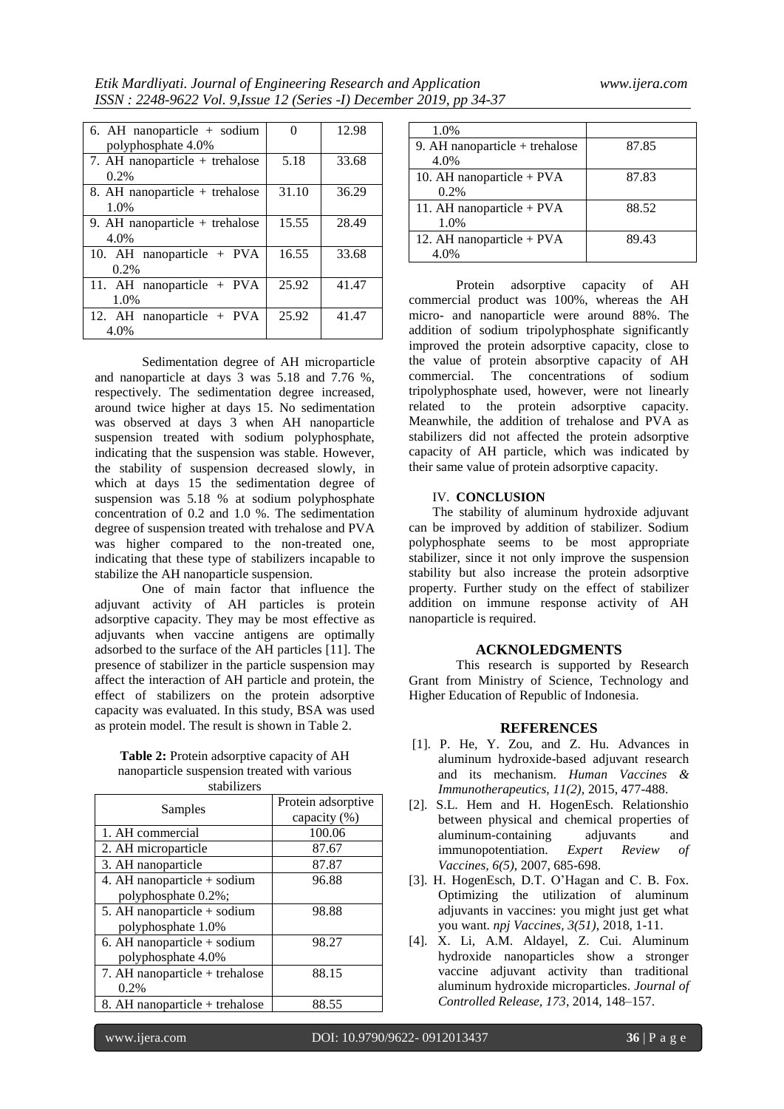| 6. AH nanoparticle $+$ sodium<br>polyphosphate 4.0% | 0     | 12.98 |
|-----------------------------------------------------|-------|-------|
| 7. AH nanoparticle $+$ trehalose<br>$0.2\%$         | 5.18  | 33.68 |
| 8. AH nanoparticle + trehalose<br>1.0%              | 31.10 | 36.29 |
| 9. AH nanoparticle $+$ trehalose<br>4.0%            | 15.55 | 28.49 |
| 10. AH nanoparticle + PVA<br>0.2%                   | 16.55 | 33.68 |
| 11. AH nanoparticle + PVA<br>1.0%                   | 25.92 | 41.47 |
| 12. AH nanoparticle + PVA<br>4.0%                   | 25.92 | 41.47 |

Sedimentation degree of AH microparticle and nanoparticle at days 3 was 5.18 and 7.76 %, respectively. The sedimentation degree increased, around twice higher at days 15. No sedimentation was observed at days 3 when AH nanoparticle suspension treated with sodium polyphosphate, indicating that the suspension was stable. However, the stability of suspension decreased slowly, in which at days 15 the sedimentation degree of suspension was 5.18 % at sodium polyphosphate concentration of 0.2 and 1.0 %. The sedimentation degree of suspension treated with trehalose and PVA was higher compared to the non-treated one. indicating that these type of stabilizers incapable to stabilize the AH nanoparticle suspension.

One of main factor that influence the adjuvant activity of AH particles is protein adsorptive capacity. They may be most effective as adjuvants when vaccine antigens are optimally adsorbed to the surface of the AH particles [11]. The presence of stabilizer in the particle suspension may affect the interaction of AH particle and protein, the effect of stabilizers on the protein adsorptive capacity was evaluated. In this study, BSA was used as protein model. The result is shown in Table 2.

**Table 2:** Protein adsorptive capacity of AH nanoparticle suspension treated with various stabilizers

| Samples                        | Protein adsorptive<br>capacity (%) |
|--------------------------------|------------------------------------|
| 1. AH commercial               | 100.06                             |
| 2. AH microparticle            | 87.67                              |
| 3. AH nanoparticle             | 87.87                              |
| 4. AH nanoparticle + sodium    | 96.88                              |
| polyphosphate 0.2%;            |                                    |
| 5. AH nanoparticle + sodium    | 98.88                              |
| polyphosphate 1.0%             |                                    |
| 6. AH nanoparticle $+$ sodium  | 98.27                              |
| polyphosphate 4.0%             |                                    |
| 7. AH nanoparticle + trehalose | 88.15                              |
| 0.2%                           |                                    |
| 8. AH nanoparticle + trehalose | 88.55                              |

| 1.0%                             |       |
|----------------------------------|-------|
| 9. AH nanoparticle $+$ trehalose | 87.85 |
| 4.0%                             |       |
| 10. AH nanoparticle $+$ PVA      | 87.83 |
| $0.2\%$                          |       |
| 11. AH nanoparticle + $PVA$      | 88.52 |
| 1.0%                             |       |
| 12. AH nanoparticle + $PVA$      | 89.43 |
| 4.0%                             |       |

Protein adsorptive capacity of AH commercial product was 100%, whereas the AH micro- and nanoparticle were around 88%. The addition of sodium tripolyphosphate significantly improved the protein adsorptive capacity, close to the value of protein absorptive capacity of AH commercial. The concentrations of sodium tripolyphosphate used, however, were not linearly related to the protein adsorptive capacity. Meanwhile, the addition of trehalose and PVA as stabilizers did not affected the protein adsorptive capacity of AH particle, which was indicated by their same value of protein adsorptive capacity.

# IV. **CONCLUSION**

The stability of aluminum hydroxide adjuvant can be improved by addition of stabilizer. Sodium polyphosphate seems to be most appropriate stabilizer, since it not only improve the suspension stability but also increase the protein adsorptive property. Further study on the effect of stabilizer addition on immune response activity of AH nanoparticle is required.

## **ACKNOLEDGMENTS**

This research is supported by Research Grant from Ministry of Science, Technology and Higher Education of Republic of Indonesia.

## **REFERENCES**

- [1]. P. He, Y. Zou, and Z. Hu. Advances in aluminum hydroxide-based adjuvant research and its mechanism. *Human Vaccines & Immunotherapeutics, 11(2),* 2015, 477-488.
- [2]. S.L. Hem and H. HogenEsch. Relationshio between physical and chemical properties of aluminum-containing adjuvants and immunopotentiation. *Expert Review of Vaccines, 6(5)*, 2007, 685-698.
- [3]. H. HogenEsch, D.T. O'Hagan and C. B. Fox. Optimizing the utilization of aluminum adjuvants in vaccines: you might just get what you want. *npj Vaccines, 3(51)*, 2018, 1-11.
- [4]. X. Li, A.M. Aldayel, Z. Cui. Aluminum hydroxide nanoparticles show a stronger vaccine adjuvant activity than traditional aluminum hydroxide microparticles. *Journal of Controlled Release, 173*, 2014, 148–157.